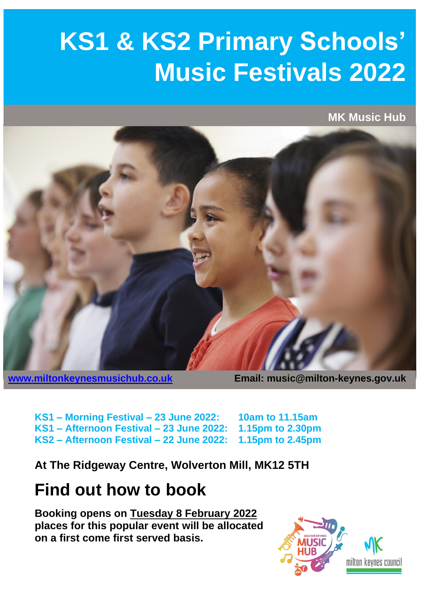## **KS1 & KS2 Primary Schools' Music Festivals 2022**

**MK Music Hub**



**[www.miltonkeynesmusichub.co.uk](http://www.miltonkeynesmusichub.co.uk/) Email: music@milton-keynes.gov.uk**

**KS1 – Morning Festival – 23 June 2022: 10am to 11.15am KS1 – Afternoon Festival – 23 June 2022: 1.15pm to 2.30pm KS2 – Afternoon Festival – 22 June 2022: 1.15pm to 2.45pm**

**At The Ridgeway Centre, Wolverton Mill, MK12 5TH**

## **Find out how to book**

**Booking opens on Tuesday 8 February 2022 places for this popular event will be allocated on a first come first served basis.**